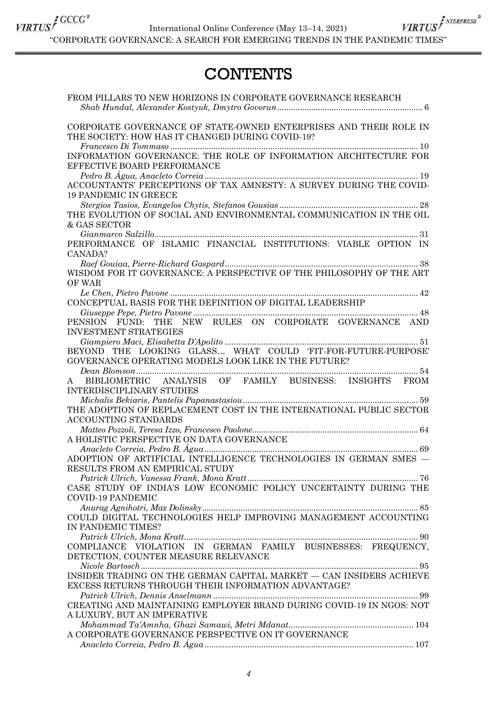International Online Conference (May 13–14, 2021)

 $\frac{\textit{VIRTUS}}{\textit{VIRTUS}}\int\frac{\textit{GCCC}^*}{\textit{MIERPRES}^*}\textit{Intermational Online Conference (May 13–14, 2021)}\times\frac{\textit{VIRTUS}}{\textit{MIEPRES}^*}\int\frac{\textit{SATEPRESS}}{\textit{MIEPRES}^*}\textit{HETUS}$ 

## **CONTENTS**

| FROM PILLARS TO NEW HORIZONS IN CORPORATE GOVERNANCE RESEARCH                                                                                                                                                                                                                                                                                                                                                                                                            |
|--------------------------------------------------------------------------------------------------------------------------------------------------------------------------------------------------------------------------------------------------------------------------------------------------------------------------------------------------------------------------------------------------------------------------------------------------------------------------|
| CORPORATE GOVERNANCE OF STATE-OWNED ENTERPRISES AND THEIR ROLE IN<br>$\begin{tabular}{c} \bf{THE SOCIETY: HOW HAS IT CHANGED DURING COVID-19?}\\ \hline \end{tabular} \label{thm:ex} Francesco \begin{tabular}{l} \hline \textbf{D} = \textbf{D} = \textbf{D} = \textbf{D} = \textbf{D} = \textbf{D} \\ \hline \end{tabular}$                                                                                                                                            |
| INFORMATION GOVERNANCE: THE ROLE OF INFORMATION ARCHITECTURE FOR<br>EFFECTIVE BOARD PERFORMANCE                                                                                                                                                                                                                                                                                                                                                                          |
| ACCOUNTANTS' PERCEPTIONS OF TAX AMNESTY: A SURVEY DURING THE COVID-<br><b>19 PANDEMIC IN GREECE</b>                                                                                                                                                                                                                                                                                                                                                                      |
| THE EVOLUTION OF SOCIAL AND ENVIRONMENTAL COMMUNICATION IN THE OIL<br>& GAS SECTOR                                                                                                                                                                                                                                                                                                                                                                                       |
| PERFORMANCE OF ISLAMIC FINANCIAL INSTITUTIONS: VIABLE OPTION IN                                                                                                                                                                                                                                                                                                                                                                                                          |
| CANADA?<br>WISDOM FOR IT GOVERNANCE: A PERSPECTIVE OF THE PHILOSOPHY OF THE ART                                                                                                                                                                                                                                                                                                                                                                                          |
| OF WAR<br>CONCEPTUAL BASIS FOR THE DEFINITION OF DIGITAL LEADERSHIP                                                                                                                                                                                                                                                                                                                                                                                                      |
| PENSION FUND: THE NEW RULES ON CORPORATE GOVERNANCE AND                                                                                                                                                                                                                                                                                                                                                                                                                  |
| <b>INVESTMENT STRATEGIES</b><br>$Giam piero~Maci,~Elisabetta~D'A polito~\\ 51$<br>BEYOND THE LOOKING GLASS WHAT COULD FIT-FOR-FUTURE-PURPOSE                                                                                                                                                                                                                                                                                                                             |
| GOVERNANCE OPERATING MODELS LOOK LIKE IN THE FUTURE?                                                                                                                                                                                                                                                                                                                                                                                                                     |
| BIBLIOMETRIC ANALYSIS OF FAMILY BUSINESS: INSIGHTS FROM<br>A<br>INTERDISCIPLINARY STUDIES                                                                                                                                                                                                                                                                                                                                                                                |
| THE ADOPTION OF REPLACEMENT COST IN THE INTERNATIONAL PUBLIC SECTOR<br><b>ACCOUNTING STANDARDS</b>                                                                                                                                                                                                                                                                                                                                                                       |
| ${\bf A \; HOLISTIC \; PERSPECTIVE \; ON \; DATA \; GOVERNANCE}$ ${\bf A \: nacleto \; Correia, \; Pedro \; B. \; Água \;} \; 69$                                                                                                                                                                                                                                                                                                                                        |
| ADOPTION OF ARTIFICIAL INTELLIGENCE TECHNOLOGIES IN GERMAN SMES -<br>RESULTS FROM AN EMPIRICAL STUDY                                                                                                                                                                                                                                                                                                                                                                     |
| CASE STUDY OF INDIA'S LOW ECONOMIC POLICY UNCERTAINTY DURING THE<br><b>COVID-19 PANDEMIC</b>                                                                                                                                                                                                                                                                                                                                                                             |
| COULD DIGITAL TECHNOLOGIES HELP IMPROVING MANAGEMENT ACCOUNTING<br>IN PANDEMIC TIMES?                                                                                                                                                                                                                                                                                                                                                                                    |
|                                                                                                                                                                                                                                                                                                                                                                                                                                                                          |
| COMPLIANCE VIOLATION IN GERMAN FAMILY BUSINESSES: FREQUENCY,<br>DETECTION, COUNTER MEASURE RELEVANCE                                                                                                                                                                                                                                                                                                                                                                     |
| INSIDER TRADING ON THE GERMAN CAPITAL MARKET - CAN INSIDERS ACHIEVE<br>EXCESS RETURNS THROUGH THEIR INFORMATION ADVANTAGE?                                                                                                                                                                                                                                                                                                                                               |
| CREATING AND MAINTAINING EMPLOYER BRAND DURING COVID-19 IN NGOS: NOT                                                                                                                                                                                                                                                                                                                                                                                                     |
| A LUXURY. BUT AN IMPERATIVE<br>$\label{eq:corre} \begin{small} \textbf{A CORPORTE GOVERNAME} \textbf{C} \textbf{D} \textbf{P} \textbf{ERR} \textbf{A} \textbf{N} \textbf{C} \textbf{E} \textbf{P} \textbf{E} \textbf{R} \textbf{S} \textbf{P} \textbf{E} \textbf{C} \textbf{T} \textbf{I} \textbf{V} \textbf{E} \textbf{O} \textbf{N} \textbf{I} \textbf{T} \textbf{G} \textbf{O} \textbf{V} \textbf{E} \textbf{R} \textbf{A} \textbf{N} \textbf{C} \textbf{E} \textbf{$ |